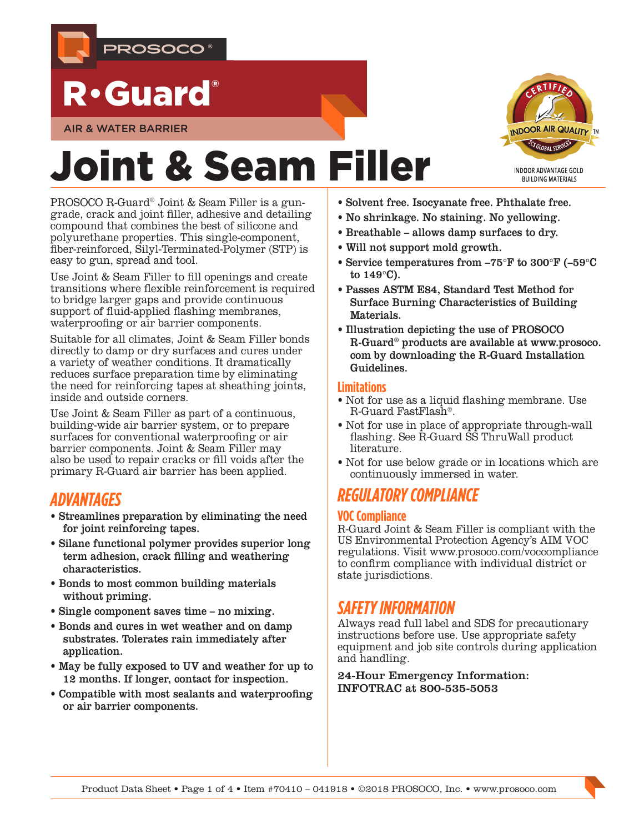

## R•Guard®

AIR & WATER BARRIER

# Joint & Seam Filler

PROSOCO R-Guard® Joint & Seam Filler is a gungrade, crack and joint filler, adhesive and detailing compound that combines the best of silicone and polyurethane properties. This single-component, fiber-reinforced, Silyl-Terminated-Polymer (STP) is easy to gun, spread and tool.

Use Joint & Seam Filler to fill openings and create transitions where flexible reinforcement is required to bridge larger gaps and provide continuous support of fluid-applied flashing membranes, waterproofing or air barrier components.

Suitable for all climates, Joint & Seam Filler bonds directly to damp or dry surfaces and cures under a variety of weather conditions. It dramatically reduces surface preparation time by eliminating the need for reinforcing tapes at sheathing joints, inside and outside corners.

Use Joint & Seam Filler as part of a continuous, building-wide air barrier system, or to prepare surfaces for conventional waterproofing or air barrier components. Joint & Seam Filler may also be used to repair cracks or fill voids after the primary R-Guard air barrier has been applied.

## *ADVANTAGES*

- Streamlines preparation by eliminating the need for joint reinforcing tapes.
- Silane functional polymer provides superior long term adhesion, crack filling and weathering characteristics.
- Bonds to most common building materials without priming.
- Single component saves time no mixing.
- Bonds and cures in wet weather and on damp substrates. Tolerates rain immediately after application.
- May be fully exposed to UV and weather for up to 12 months. If longer, contact for inspection.
- Compatible with most sealants and waterproofing or air barrier components.



- No shrinkage. No staining. No yellowing.
- Breathable allows damp surfaces to dry.
- Will not support mold growth.
- Service temperatures from –75°F to 300°F (–59°C to 149°C).
- Passes ASTM E84, Standard Test Method for Surface Burning Characteristics of Building Materials.
- Illustration depicting the use of PROSOCO R-Guard® products are available at www.prosoco. com by downloading the R-Guard Installation Guidelines.

#### **Limitations**

- Not for use as a liquid flashing membrane. Use R-Guard FastFlash®.
- Not for use in place of appropriate through-wall flashing. See R-Guard SS ThruWall product *literature*
- Not for use below grade or in locations which are continuously immersed in water.

## *REGULATORY COMPLIANCE*

#### **VOC Compliance**

R-Guard Joint & Seam Filler is compliant with the US Environmental Protection Agency's AIM VOC regulations. Visit www.prosoco.com/voccompliance to confirm compliance with individual district or state jurisdictions.

## *SAFETY INFORMATION*

Always read full label and SDS for precautionary instructions before use. Use appropriate safety equipment and job site controls during application and handling.

24-Hour Emergency Information: INFOTRAC at 800-535-5053

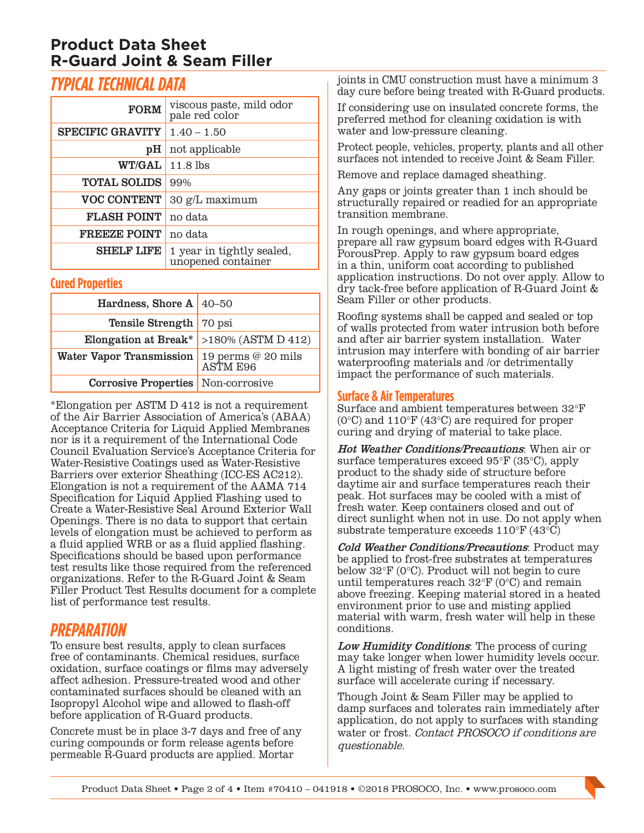## **Product Data Sheet R-Guard Joint & Seam Filler**

## *TYPICAL TECHNICAL DATA*

| <b>FORM</b>             | viscous paste, mild odor<br>pale red color      |
|-------------------------|-------------------------------------------------|
| <b>SPECIFIC GRAVITY</b> | $1.40 - 1.50$                                   |
| pH                      | not applicable                                  |
| <b>WT/GAL</b>           | $11.8$ lbs                                      |
| <b>TOTAL SOLIDS</b>     | 99%                                             |
| <b>VOC CONTENT</b>      | 30 g/L maximum                                  |
| <b>FLASH POINT</b>      | no data                                         |
| <b>FREEZE POINT</b>     | no data                                         |
| <b>SHELF LIFE</b>       | 1 year in tightly sealed,<br>unopened container |

#### **Cured Properties**

| Hardness, Shore A $ $ 40-50                             |                                            |  |
|---------------------------------------------------------|--------------------------------------------|--|
| <b>Tensile Strength</b> 70 psi                          |                                            |  |
|                                                         | Elongation at Break* $>180\%$ (ASTM D 412) |  |
| Water Vapor Transmission 19 perms @ 20 mils<br>ASTM E96 |                                            |  |
| <b>Corrosive Properties</b> Non-corrosive               |                                            |  |

\*Elongation per ASTM D 412 is not a requirement of the Air Barrier Association of America's (ABAA) Acceptance Criteria for Liquid Applied Membranes nor is it a requirement of the International Code Council Evaluation Service's Acceptance Criteria for Water-Resistive Coatings used as Water-Resistive Barriers over exterior Sheathing (ICC-ES AC212). Elongation is not a requirement of the AAMA 714 Specification for Liquid Applied Flashing used to Create a Water-Resistive Seal Around Exterior Wall Openings. There is no data to support that certain levels of elongation must be achieved to perform as a fluid applied WRB or as a fluid applied flashing. Specifications should be based upon performance test results like those required from the referenced organizations. Refer to the R-Guard Joint & Seam Filler Product Test Results document for a complete list of performance test results.

## *PREPARATION*

To ensure best results, apply to clean surfaces free of contaminants. Chemical residues, surface oxidation, surface coatings or films may adversely affect adhesion. Pressure-treated wood and other contaminated surfaces should be cleaned with an Isopropyl Alcohol wipe and allowed to flash-off before application of R-Guard products.

Concrete must be in place 3-7 days and free of any curing compounds or form release agents before permeable R-Guard products are applied. Mortar

joints in CMU construction must have a minimum 3 day cure before being treated with R-Guard products.

If considering use on insulated concrete forms, the preferred method for cleaning oxidation is with water and low-pressure cleaning.

Protect people, vehicles, property, plants and all other surfaces not intended to receive Joint & Seam Filler.

Remove and replace damaged sheathing.

Any gaps or joints greater than 1 inch should be structurally repaired or readied for an appropriate transition membrane.

In rough openings, and where appropriate, prepare all raw gypsum board edges with R-Guard PorousPrep. Apply to raw gypsum board edges in a thin, uniform coat according to published application instructions. Do not over apply. Allow to dry tack-free before application of R-Guard Joint & Seam Filler or other products.

Roofing systems shall be capped and sealed or top of walls protected from water intrusion both before and after air barrier system installation. Water intrusion may interfere with bonding of air barrier waterproofing materials and /or detrimentally impact the performance of such materials.

#### **Surface & Air Temperatures**

Surface and ambient temperatures between 32°F (0°C) and 110°F (43°C) are required for proper curing and drying of material to take place.

Hot Weather Conditions/Precautions: When air or surface temperatures exceed 95°F (35°C), apply product to the shady side of structure before daytime air and surface temperatures reach their peak. Hot surfaces may be cooled with a mist of fresh water. Keep containers closed and out of direct sunlight when not in use. Do not apply when substrate temperature exceeds 110°F (43°C)

Cold Weather Conditions/Precautions: Product may be applied to frost-free substrates at temperatures below 32°F (0°C). Product will not begin to cure until temperatures reach 32°F (0°C) and remain above freezing. Keeping material stored in a heated environment prior to use and misting applied material with warm, fresh water will help in these conditions.

Low Humidity Conditions: The process of curing may take longer when lower humidity levels occur. A light misting of fresh water over the treated surface will accelerate curing if necessary.

Though Joint & Seam Filler may be applied to damp surfaces and tolerates rain immediately after application, do not apply to surfaces with standing water or frost. *Contact PROSOCO if conditions are* questionable.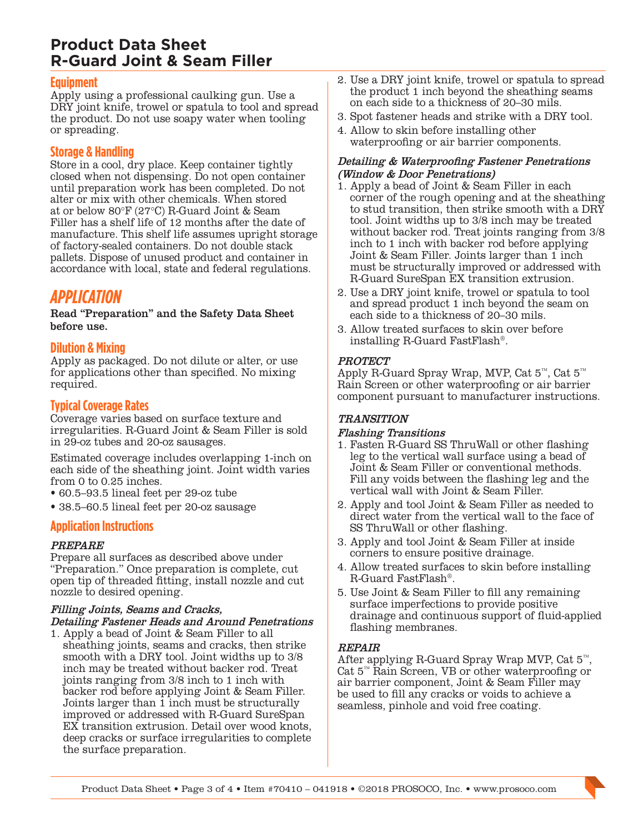## **Product Data Sheet R-Guard Joint & Seam Filler**

#### **Equipment**

Apply using a professional caulking gun. Use a DRY joint knife, trowel or spatula to tool and spread the product. Do not use soapy water when tooling or spreading.

#### **Storage & Handling**

Store in a cool, dry place. Keep container tightly closed when not dispensing. Do not open container until preparation work has been completed. Do not alter or mix with other chemicals. When stored at or below 80°F (27°C) R-Guard Joint & Seam Filler has a shelf life of 12 months after the date of manufacture. This shelf life assumes upright storage of factory-sealed containers. Do not double stack pallets. Dispose of unused product and container in accordance with local, state and federal regulations.

## *APPLICATION*

Read "Preparation" and the Safety Data Sheet before use.

#### **Dilution & Mixing**

Apply as packaged. Do not dilute or alter, or use for applications other than specified. No mixing required.

#### **Typical Coverage Rates**

Coverage varies based on surface texture and irregularities. R-Guard Joint & Seam Filler is sold in 29-oz tubes and 20-oz sausages.

Estimated coverage includes overlapping 1-inch on each side of the sheathing joint. Joint width varies from 0 to 0.25 inches.

- 60.5–93.5 lineal feet per 29-oz tube
- 38.5–60.5 lineal feet per 20-oz sausage

#### **Application Instructions**

#### PREPARE

Prepare all surfaces as described above under "Preparation." Once preparation is complete, cut open tip of threaded fitting, install nozzle and cut nozzle to desired opening.

## Filling Joints, Seams and Cracks,

Detailing Fastener Heads and Around Penetrations

1. Apply a bead of Joint & Seam Filler to all sheathing joints, seams and cracks, then strike smooth with a DRY tool. Joint widths up to 3/8 inch may be treated without backer rod. Treat joints ranging from 3/8 inch to 1 inch with backer rod before applying Joint & Seam Filler. Joints larger than 1 inch must be structurally improved or addressed with R-Guard SureSpan EX transition extrusion. Detail over wood knots, deep cracks or surface irregularities to complete the surface preparation.

- 2. Use a DRY joint knife, trowel or spatula to spread the product 1 inch beyond the sheathing seams on each side to a thickness of 20–30 mils.
- 3. Spot fastener heads and strike with a DRY tool.
- 4. Allow to skin before installing other waterproofing or air barrier components.

#### Detailing & Waterproofing Fastener Penetrations (Window & Door Penetrations)

- 1. Apply a bead of Joint & Seam Filler in each corner of the rough opening and at the sheathing to stud transition, then strike smooth with a DRY tool. Joint widths up to 3/8 inch may be treated without backer rod. Treat joints ranging from 3/8 inch to 1 inch with backer rod before applying Joint & Seam Filler. Joints larger than 1 inch must be structurally improved or addressed with R-Guard SureSpan EX transition extrusion.
- 2. Use a DRY joint knife, trowel or spatula to tool and spread product 1 inch beyond the seam on each side to a thickness of 20–30 mils.
- 3. Allow treated surfaces to skin over before installing R-Guard FastFlash®.

#### **PROTECT**

Apply R-Guard Spray Wrap, MVP, Cat 5™, Cat 5™ Rain Screen or other waterproofing or air barrier component pursuant to manufacturer instructions.

#### TRANSITION

#### Flashing Transitions

- 1. Fasten R-Guard SS ThruWall or other flashing leg to the vertical wall surface using a bead of Joint & Seam Filler or conventional methods. Fill any voids between the flashing leg and the vertical wall with Joint & Seam Filler.
- 2. Apply and tool Joint & Seam Filler as needed to direct water from the vertical wall to the face of SS ThruWall or other flashing.
- 3. Apply and tool Joint & Seam Filler at inside corners to ensure positive drainage.
- 4. Allow treated surfaces to skin before installing R-Guard FastFlash®.
- 5. Use Joint & Seam Filler to fill any remaining surface imperfections to provide positive drainage and continuous support of fluid-applied flashing membranes.

#### REPAIR

After applying R-Guard Spray Wrap MVP, Cat  $5^{\text{m}}$ , Cat  $5^{\text{m}}$ , Cat  $5^{\text{m}}$ , Cat S<sup>n</sup>, Cat S<sup>n</sup>, Cat S<sup>n</sup>, Cat S<sup>n</sup>, Cat S<sup>n</sup>, Cat S<sup>n</sup>, Cat S<sup>n</sup>, Cat S<sup>n</sup>, Cat S<sup>n</sup>, Cat S<sup>n</sup>, Cat S<sup>n</sup>, Cat S<sup>n</sup>, Cat Sn, Cat Sn, C air barrier component, Joint & Seam Filler may be used to fill any cracks or voids to achieve a seamless, pinhole and void free coating.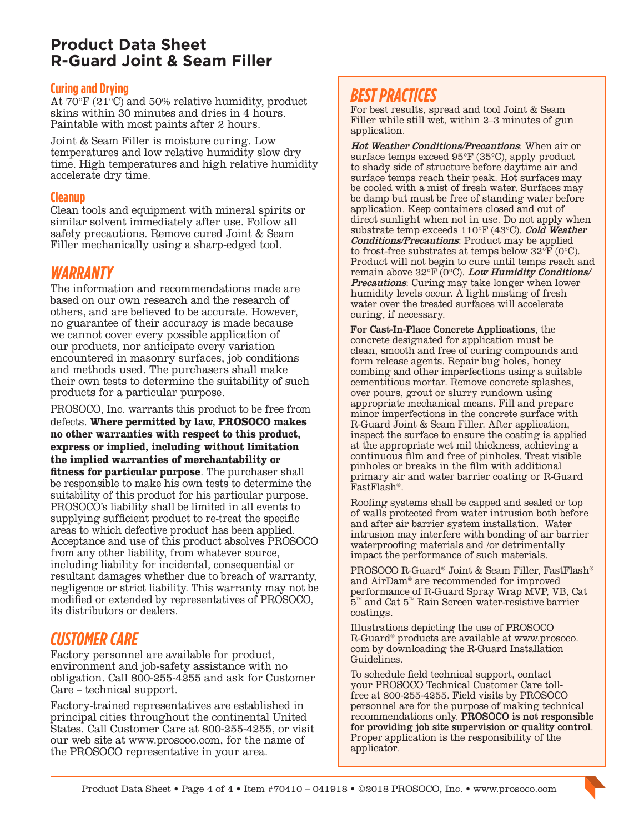### **Product Data Sheet R-Guard Joint & Seam Filler**

#### **Curing and Drying**

At 70°F (21°C) and 50% relative humidity, product skins within 30 minutes and dries in 4 hours. Paintable with most paints after 2 hours.

Joint & Seam Filler is moisture curing. Low temperatures and low relative humidity slow dry time. High temperatures and high relative humidity accelerate dry time.

#### **Cleanup**

Clean tools and equipment with mineral spirits or similar solvent immediately after use. Follow all safety precautions. Remove cured Joint & Seam Filler mechanically using a sharp-edged tool.

#### *WARRANTY*

The information and recommendations made are based on our own research and the research of others, and are believed to be accurate. However, no guarantee of their accuracy is made because we cannot cover every possible application of our products, nor anticipate every variation encountered in masonry surfaces, job conditions and methods used. The purchasers shall make their own tests to determine the suitability of such products for a particular purpose.

PROSOCO, Inc. warrants this product to be free from defects. **Where permitted by law, PROSOCO makes no other warranties with respect to this product, express or implied, including without limitation the implied warranties of merchantability or fitness for particular purpose**. The purchaser shall be responsible to make his own tests to determine the suitability of this product for his particular purpose. PROSOCO's liability shall be limited in all events to supplying sufficient product to re-treat the specific areas to which defective product has been applied. Acceptance and use of this product absolves PROSOCO from any other liability, from whatever source, including liability for incidental, consequential or resultant damages whether due to breach of warranty, negligence or strict liability. This warranty may not be modified or extended by representatives of PROSOCO, its distributors or dealers.

## *CUSTOMER CARE*

Factory personnel are available for product, environment and job-safety assistance with no obligation. Call 800-255-4255 and ask for Customer Care – technical support.

Factory-trained representatives are established in principal cities throughout the continental United States. Call Customer Care at 800-255-4255, or visit our web site at www.prosoco.com, for the name of the PROSOCO representative in your area.

## *BEST PRACTICES*

For best results, spread and tool Joint & Seam Filler while still wet, within 2–3 minutes of gun application.

Hot Weather Conditions/Precautions: When air or surface temps exceed 95°F (35°C), apply product to shady side of structure before daytime air and surface temps reach their peak. Hot surfaces may be cooled with a mist of fresh water. Surfaces may be damp but must be free of standing water before application. Keep containers closed and out of direct sunlight when not in use. Do not apply when substrate temp exceeds  $110^{\circ}F(43^{\circ}C)$ . Cold Weather Conditions/Precautions: Product may be applied to frost-free substrates at temps below  $32^{\circ}F(0^{\circ}C)$ . Product will not begin to cure until temps reach and remain above 32°F (0°C). Low Humidity Conditions/ **Precautions:** Curing may take longer when lower humidity levels occur. A light misting of fresh water over the treated surfaces will accelerate curing, if necessary.

For Cast-In-Place Concrete Applications, the concrete designated for application must be clean, smooth and free of curing compounds and form release agents. Repair bug holes, honey combing and other imperfections using a suitable cementitious mortar. Remove concrete splashes, over pours, grout or slurry rundown using appropriate mechanical means. Fill and prepare minor imperfections in the concrete surface with R-Guard Joint & Seam Filler. After application, inspect the surface to ensure the coating is applied at the appropriate wet mil thickness, achieving a continuous film and free of pinholes. Treat visible pinholes or breaks in the film with additional primary air and water barrier coating or R-Guard FastFlash®.

Roofing systems shall be capped and sealed or top of walls protected from water intrusion both before and after air barrier system installation. Water intrusion may interfere with bonding of air barrier waterproofing materials and /or detrimentally impact the performance of such materials.

PROSOCO R-Guard® Joint & Seam Filler, FastFlash® and AirDam® are recommended for improved performance of R-Guard Spray Wrap MVP, VB, Cat 5™ and Cat 5™ Rain Screen water-resistive barrier coatings.

Illustrations depicting the use of PROSOCO R-Guard® products are available at www.prosoco. com by downloading the R-Guard Installation Guidelines.

To schedule field technical support, contact your PROSOCO Technical Customer Care tollfree at 800-255-4255. Field visits by PROSOCO personnel are for the purpose of making technical recommendations only. PROSOCO is not responsible for providing job site supervision or quality control. Proper application is the responsibility of the applicator.